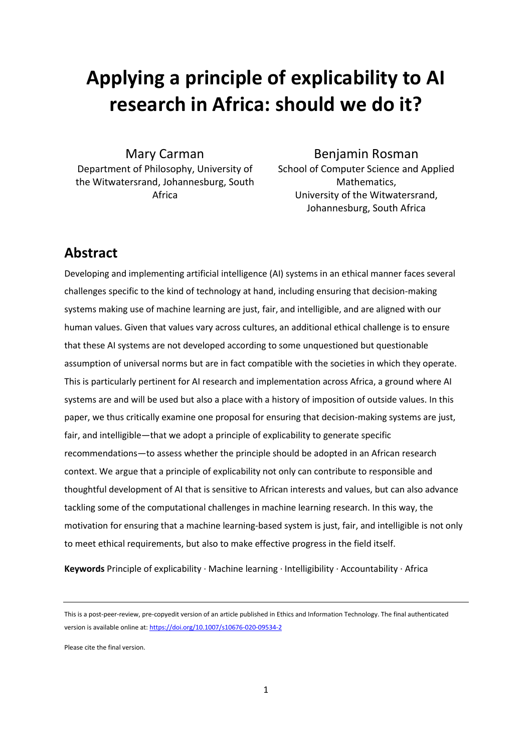# **Applying a principle of explicability to AI research in Africa: should we do it?**

Mary Carman Department of Philosophy, University of the Witwatersrand, Johannesburg, South Africa

Benjamin Rosman

School of Computer Science and Applied Mathematics, University of the Witwatersrand, Johannesburg, South Africa

# **Abstract**

Developing and implementing artificial intelligence (AI) systems in an ethical manner faces several challenges specific to the kind of technology at hand, including ensuring that decision-making systems making use of machine learning are just, fair, and intelligible, and are aligned with our human values. Given that values vary across cultures, an additional ethical challenge is to ensure that these AI systems are not developed according to some unquestioned but questionable assumption of universal norms but are in fact compatible with the societies in which they operate. This is particularly pertinent for AI research and implementation across Africa, a ground where AI systems are and will be used but also a place with a history of imposition of outside values. In this paper, we thus critically examine one proposal for ensuring that decision-making systems are just, fair, and intelligible—that we adopt a principle of explicability to generate specific recommendations—to assess whether the principle should be adopted in an African research context. We argue that a principle of explicability not only can contribute to responsible and thoughtful development of AI that is sensitive to African interests and values, but can also advance tackling some of the computational challenges in machine learning research. In this way, the motivation for ensuring that a machine learning-based system is just, fair, and intelligible is not only to meet ethical requirements, but also to make effective progress in the field itself.

**Keywords** Principle of explicability · Machine learning · Intelligibility · Accountability · Africa

Please cite the final version.

This is a post-peer-review, pre-copyedit version of an article published in Ethics and Information Technology. The final authenticated version is available online at[: https://doi.org/10.1007/s10676-020-09534-2](https://doi.org/10.1007/s10676-020-09534-2)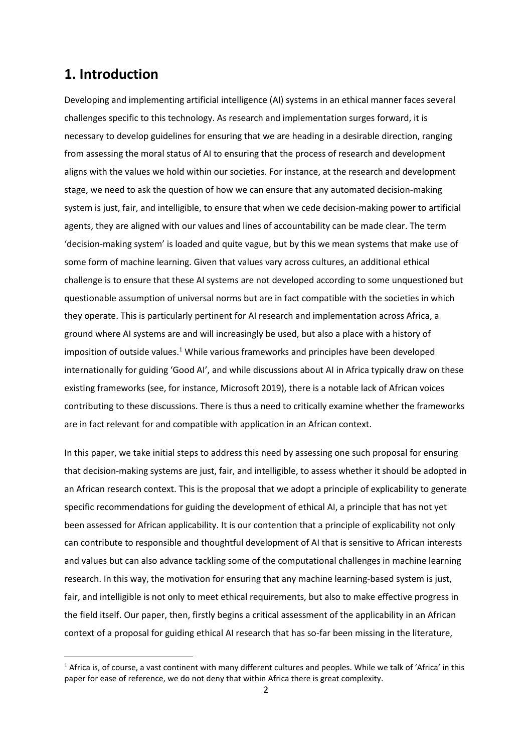## **1. Introduction**

Developing and implementing artificial intelligence (AI) systems in an ethical manner faces several challenges specific to this technology. As research and implementation surges forward, it is necessary to develop guidelines for ensuring that we are heading in a desirable direction, ranging from assessing the moral status of AI to ensuring that the process of research and development aligns with the values we hold within our societies. For instance, at the research and development stage, we need to ask the question of how we can ensure that any automated decision-making system is just, fair, and intelligible, to ensure that when we cede decision-making power to artificial agents, they are aligned with our values and lines of accountability can be made clear. The term 'decision-making system' is loaded and quite vague, but by this we mean systems that make use of some form of machine learning. Given that values vary across cultures, an additional ethical challenge is to ensure that these AI systems are not developed according to some unquestioned but questionable assumption of universal norms but are in fact compatible with the societies in which they operate. This is particularly pertinent for AI research and implementation across Africa, a ground where AI systems are and will increasingly be used, but also a place with a history of imposition of outside values. $1$  While various frameworks and principles have been developed internationally for guiding 'Good AI', and while discussions about AI in Africa typically draw on these existing frameworks (see, for instance, Microsoft 2019), there is a notable lack of African voices contributing to these discussions. There is thus a need to critically examine whether the frameworks are in fact relevant for and compatible with application in an African context.

In this paper, we take initial steps to address this need by assessing one such proposal for ensuring that decision-making systems are just, fair, and intelligible, to assess whether it should be adopted in an African research context. This is the proposal that we adopt a principle of explicability to generate specific recommendations for guiding the development of ethical AI, a principle that has not yet been assessed for African applicability. It is our contention that a principle of explicability not only can contribute to responsible and thoughtful development of AI that is sensitive to African interests and values but can also advance tackling some of the computational challenges in machine learning research. In this way, the motivation for ensuring that any machine learning-based system is just, fair, and intelligible is not only to meet ethical requirements, but also to make effective progress in the field itself. Our paper, then, firstly begins a critical assessment of the applicability in an African context of a proposal for guiding ethical AI research that has so-far been missing in the literature,

 $1$  Africa is, of course, a vast continent with many different cultures and peoples. While we talk of 'Africa' in this paper for ease of reference, we do not deny that within Africa there is great complexity.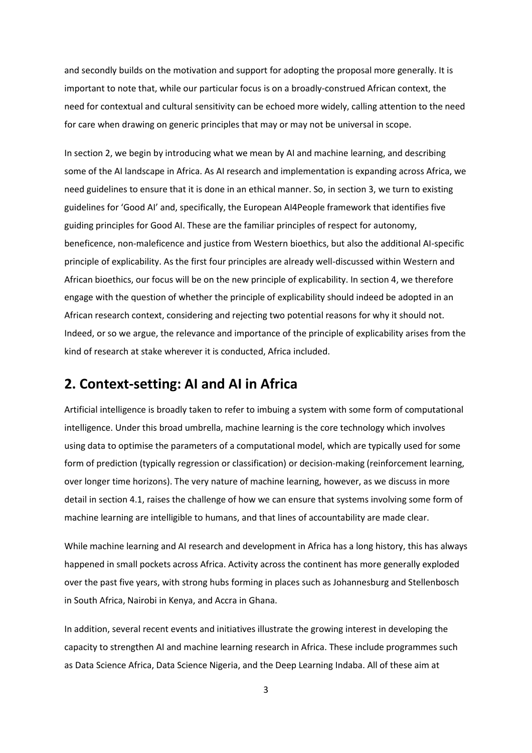and secondly builds on the motivation and support for adopting the proposal more generally. It is important to note that, while our particular focus is on a broadly-construed African context, the need for contextual and cultural sensitivity can be echoed more widely, calling attention to the need for care when drawing on generic principles that may or may not be universal in scope.

In section 2, we begin by introducing what we mean by AI and machine learning, and describing some of the AI landscape in Africa. As AI research and implementation is expanding across Africa, we need guidelines to ensure that it is done in an ethical manner. So, in section 3, we turn to existing guidelines for 'Good AI' and, specifically, the European AI4People framework that identifies five guiding principles for Good AI. These are the familiar principles of respect for autonomy, beneficence, non-maleficence and justice from Western bioethics, but also the additional AI-specific principle of explicability. As the first four principles are already well-discussed within Western and African bioethics, our focus will be on the new principle of explicability. In section 4, we therefore engage with the question of whether the principle of explicability should indeed be adopted in an African research context, considering and rejecting two potential reasons for why it should not. Indeed, or so we argue, the relevance and importance of the principle of explicability arises from the kind of research at stake wherever it is conducted, Africa included.

### **2. Context-setting: AI and AI in Africa**

Artificial intelligence is broadly taken to refer to imbuing a system with some form of computational intelligence. Under this broad umbrella, machine learning is the core technology which involves using data to optimise the parameters of a computational model, which are typically used for some form of prediction (typically regression or classification) or decision-making (reinforcement learning, over longer time horizons). The very nature of machine learning, however, as we discuss in more detail in section 4.1, raises the challenge of how we can ensure that systems involving some form of machine learning are intelligible to humans, and that lines of accountability are made clear.

While machine learning and AI research and development in Africa has a long history, this has always happened in small pockets across Africa. Activity across the continent has more generally exploded over the past five years, with strong hubs forming in places such as Johannesburg and Stellenbosch in South Africa, Nairobi in Kenya, and Accra in Ghana.

In addition, several recent events and initiatives illustrate the growing interest in developing the capacity to strengthen AI and machine learning research in Africa. These include programmes such as Data Science Africa, Data Science Nigeria, and the Deep Learning Indaba. All of these aim at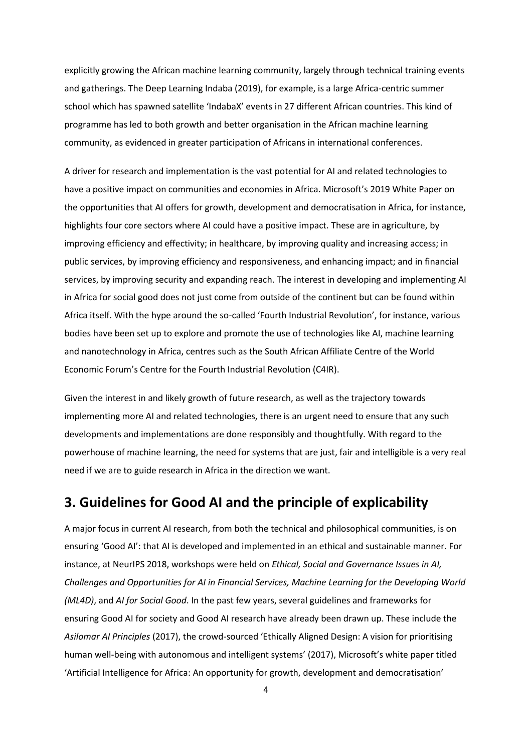explicitly growing the African machine learning community, largely through technical training events and gatherings. The Deep Learning Indaba (2019), for example, is a large Africa-centric summer school which has spawned satellite 'IndabaX' events in 27 different African countries. This kind of programme has led to both growth and better organisation in the African machine learning community, as evidenced in greater participation of Africans in international conferences.

A driver for research and implementation is the vast potential for AI and related technologies to have a positive impact on communities and economies in Africa. Microsoft's 2019 White Paper on the opportunities that AI offers for growth, development and democratisation in Africa, for instance, highlights four core sectors where AI could have a positive impact. These are in agriculture, by improving efficiency and effectivity; in healthcare, by improving quality and increasing access; in public services, by improving efficiency and responsiveness, and enhancing impact; and in financial services, by improving security and expanding reach. The interest in developing and implementing AI in Africa for social good does not just come from outside of the continent but can be found within Africa itself. With the hype around the so-called 'Fourth Industrial Revolution', for instance, various bodies have been set up to explore and promote the use of technologies like AI, machine learning and nanotechnology in Africa, centres such as the South African Affiliate Centre of the World Economic Forum's Centre for the Fourth Industrial Revolution (C4IR).

Given the interest in and likely growth of future research, as well as the trajectory towards implementing more AI and related technologies, there is an urgent need to ensure that any such developments and implementations are done responsibly and thoughtfully. With regard to the powerhouse of machine learning, the need for systems that are just, fair and intelligible is a very real need if we are to guide research in Africa in the direction we want.

## **3. Guidelines for Good AI and the principle of explicability**

A major focus in current AI research, from both the technical and philosophical communities, is on ensuring 'Good AI': that AI is developed and implemented in an ethical and sustainable manner. For instance, at NeurIPS 2018, workshops were held on *Ethical, Social and Governance Issues in AI, Challenges and Opportunities for AI in Financial Services, Machine Learning for the Developing World (ML4D)*, and *AI for Social Good*. In the past few years, several guidelines and frameworks for ensuring Good AI for society and Good AI research have already been drawn up. These include the *Asilomar AI Principles* (2017), the crowd-sourced 'Ethically Aligned Design: A vision for prioritising human well-being with autonomous and intelligent systems' (2017), Microsoft's white paper titled 'Artificial Intelligence for Africa: An opportunity for growth, development and democratisation'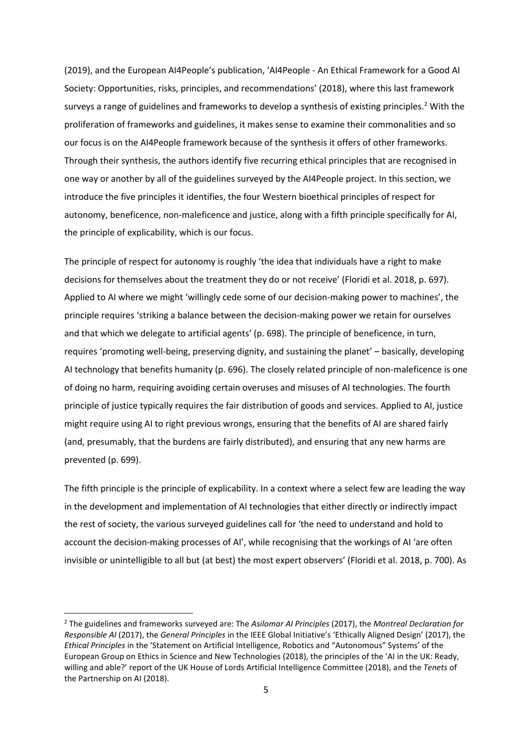(2019), and the European AI4People's publication, 'AI4People - An Ethical Framework for a Good AI Society: Opportunities, risks, principles, and recommendations' (2018), where this last framework surveys a range of guidelines and frameworks to develop a synthesis of existing principles.<sup>2</sup> With the proliferation of frameworks and guidelines, it makes sense to examine their commonalities and so our focus is on the AI4People framework because of the synthesis it offers of other frameworks. Through their synthesis, the authors identify five recurring ethical principles that are recognised in one way or another by all of the guidelines surveyed by the AI4People project. In this section, we introduce the five principles it identifies, the four Western bioethical principles of respect for autonomy, beneficence, non-maleficence and justice, along with a fifth principle specifically for AI, the principle of explicability, which is our focus.

The principle of respect for autonomy is roughly 'the idea that individuals have a right to make decisions for themselves about the treatment they do or not receive' (Floridi et al. 2018, p. 697). Applied to AI where we might 'willingly cede some of our decision-making power to machines', the principle requires 'striking a balance between the decision-making power we retain for ourselves and that which we delegate to artificial agents' (p. 698). The principle of beneficence, in turn, requires 'promoting well-being, preserving dignity, and sustaining the planet' – basically, developing AI technology that benefits humanity (p. 696). The closely related principle of non-maleficence is one of doing no harm, requiring avoiding certain overuses and misuses of AI technologies. The fourth principle of justice typically requires the fair distribution of goods and services. Applied to AI, justice might require using AI to right previous wrongs, ensuring that the benefits of AI are shared fairly (and, presumably, that the burdens are fairly distributed), and ensuring that any new harms are prevented (p. 699).

The fifth principle is the principle of explicability. In a context where a select few are leading the way in the development and implementation of AI technologies that either directly or indirectly impact the rest of society, the various surveyed guidelines call for 'the need to understand and hold to account the decision-making processes of AI', while recognising that the workings of AI 'are often invisible or unintelligible to all but (at best) the most expert observers' (Floridi et al. 2018, p. 700). As

<sup>2</sup> The guidelines and frameworks surveyed are: The *Asilomar AI Principles* (2017), the *Montreal Declaration for Responsible AI* (2017), the *General Principles* in the IEEE Global Initiative's 'Ethically Aligned Design' (2017), the *Ethical Principles* in the 'Statement on Artificial Intelligence, Robotics and "Autonomous" Systems' of the European Group on Ethics in Science and New Technologies (2018), the principles of the 'AI in the UK: Ready, willing and able?' report of the UK House of Lords Artificial Intelligence Committee (2018), and the *Tenets* of the Partnership on AI (2018).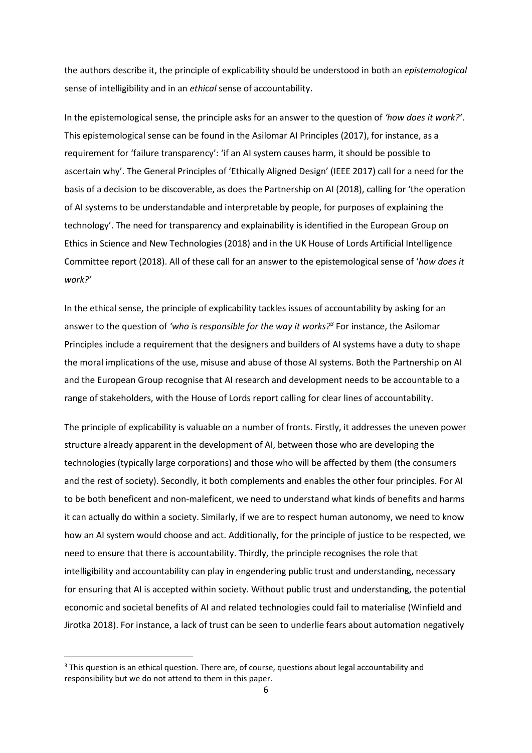the authors describe it, the principle of explicability should be understood in both an *epistemological* sense of intelligibility and in an *ethical* sense of accountability.

In the epistemological sense, the principle asks for an answer to the question of *'how does it work?'*. This epistemological sense can be found in the Asilomar AI Principles (2017), for instance, as a requirement for 'failure transparency': 'if an AI system causes harm, it should be possible to ascertain why'. The General Principles of 'Ethically Aligned Design' (IEEE 2017) call for a need for the basis of a decision to be discoverable, as does the Partnership on AI (2018), calling for 'the operation of AI systems to be understandable and interpretable by people, for purposes of explaining the technology'. The need for transparency and explainability is identified in the European Group on Ethics in Science and New Technologies (2018) and in the UK House of Lords Artificial Intelligence Committee report (2018). All of these call for an answer to the epistemological sense of '*how does it work?'*

In the ethical sense, the principle of explicability tackles issues of accountability by asking for an answer to the question of *'who is responsible for the way it works?<sup>3</sup>* For instance, the Asilomar Principles include a requirement that the designers and builders of AI systems have a duty to shape the moral implications of the use, misuse and abuse of those AI systems. Both the Partnership on AI and the European Group recognise that AI research and development needs to be accountable to a range of stakeholders, with the House of Lords report calling for clear lines of accountability.

The principle of explicability is valuable on a number of fronts. Firstly, it addresses the uneven power structure already apparent in the development of AI, between those who are developing the technologies (typically large corporations) and those who will be affected by them (the consumers and the rest of society). Secondly, it both complements and enables the other four principles. For AI to be both beneficent and non-maleficent, we need to understand what kinds of benefits and harms it can actually do within a society. Similarly, if we are to respect human autonomy, we need to know how an AI system would choose and act. Additionally, for the principle of justice to be respected, we need to ensure that there is accountability. Thirdly, the principle recognises the role that intelligibility and accountability can play in engendering public trust and understanding, necessary for ensuring that AI is accepted within society. Without public trust and understanding, the potential economic and societal benefits of AI and related technologies could fail to materialise (Winfield and Jirotka 2018). For instance, a lack of trust can be seen to underlie fears about automation negatively

<sup>&</sup>lt;sup>3</sup> This question is an ethical question. There are, of course, questions about legal accountability and responsibility but we do not attend to them in this paper.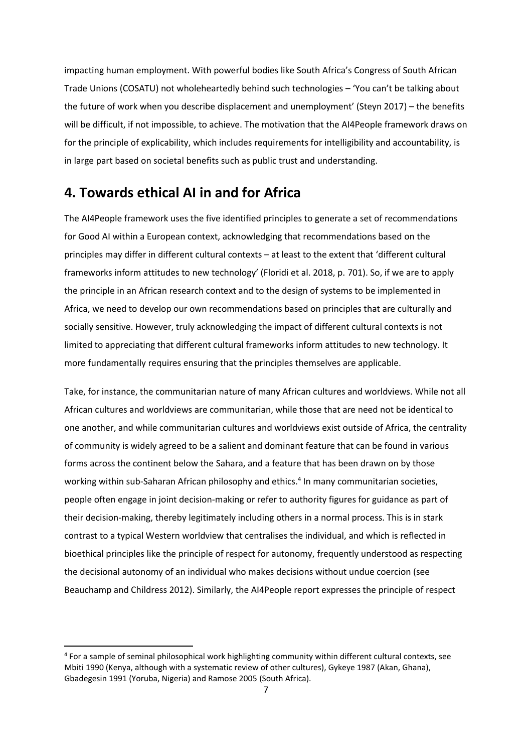impacting human employment. With powerful bodies like South Africa's Congress of South African Trade Unions (COSATU) not wholeheartedly behind such technologies – 'You can't be talking about the future of work when you describe displacement and unemployment' (Steyn 2017) – the benefits will be difficult, if not impossible, to achieve. The motivation that the AI4People framework draws on for the principle of explicability, which includes requirements for intelligibility and accountability, is in large part based on societal benefits such as public trust and understanding.

# **4. Towards ethical AI in and for Africa**

The AI4People framework uses the five identified principles to generate a set of recommendations for Good AI within a European context, acknowledging that recommendations based on the principles may differ in different cultural contexts – at least to the extent that 'different cultural frameworks inform attitudes to new technology' (Floridi et al. 2018, p. 701). So, if we are to apply the principle in an African research context and to the design of systems to be implemented in Africa, we need to develop our own recommendations based on principles that are culturally and socially sensitive. However, truly acknowledging the impact of different cultural contexts is not limited to appreciating that different cultural frameworks inform attitudes to new technology. It more fundamentally requires ensuring that the principles themselves are applicable.

Take, for instance, the communitarian nature of many African cultures and worldviews. While not all African cultures and worldviews are communitarian, while those that are need not be identical to one another, and while communitarian cultures and worldviews exist outside of Africa, the centrality of community is widely agreed to be a salient and dominant feature that can be found in various forms across the continent below the Sahara, and a feature that has been drawn on by those working within sub-Saharan African philosophy and ethics.<sup>4</sup> In many communitarian societies, people often engage in joint decision-making or refer to authority figures for guidance as part of their decision-making, thereby legitimately including others in a normal process. This is in stark contrast to a typical Western worldview that centralises the individual, and which is reflected in bioethical principles like the principle of respect for autonomy, frequently understood as respecting the decisional autonomy of an individual who makes decisions without undue coercion (see Beauchamp and Childress 2012). Similarly, the AI4People report expresses the principle of respect

<sup>&</sup>lt;sup>4</sup> For a sample of seminal philosophical work highlighting community within different cultural contexts, see Mbiti 1990 (Kenya, although with a systematic review of other cultures), Gykeye 1987 (Akan, Ghana), Gbadegesin 1991 (Yoruba, Nigeria) and Ramose 2005 (South Africa).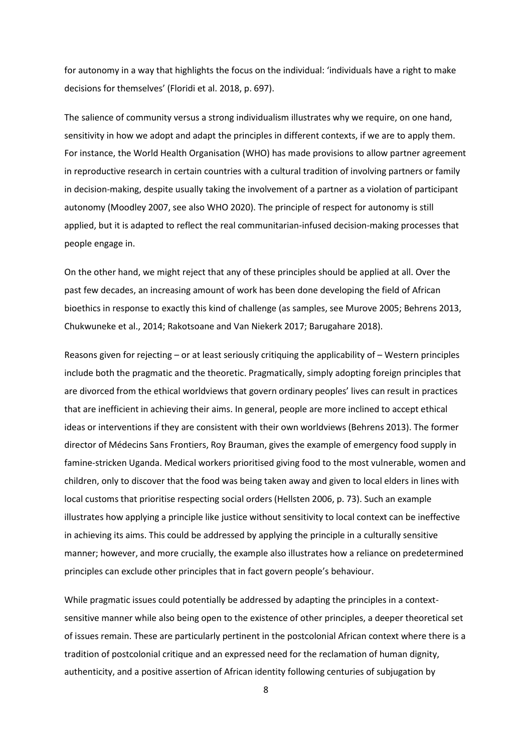for autonomy in a way that highlights the focus on the individual: 'individuals have a right to make decisions for themselves' (Floridi et al. 2018, p. 697).

The salience of community versus a strong individualism illustrates why we require, on one hand, sensitivity in how we adopt and adapt the principles in different contexts, if we are to apply them. For instance, the World Health Organisation (WHO) has made provisions to allow partner agreement in reproductive research in certain countries with a cultural tradition of involving partners or family in decision-making, despite usually taking the involvement of a partner as a violation of participant autonomy (Moodley 2007, see also WHO 2020). The principle of respect for autonomy is still applied, but it is adapted to reflect the real communitarian-infused decision-making processes that people engage in.

On the other hand, we might reject that any of these principles should be applied at all. Over the past few decades, an increasing amount of work has been done developing the field of African bioethics in response to exactly this kind of challenge (as samples, see Murove 2005; Behrens 2013, Chukwuneke et al., 2014; Rakotsoane and Van Niekerk 2017; Barugahare 2018).

Reasons given for rejecting – or at least seriously critiquing the applicability of – Western principles include both the pragmatic and the theoretic. Pragmatically, simply adopting foreign principles that are divorced from the ethical worldviews that govern ordinary peoples' lives can result in practices that are inefficient in achieving their aims. In general, people are more inclined to accept ethical ideas or interventions if they are consistent with their own worldviews (Behrens 2013). The former director of Médecins Sans Frontiers, Roy Brauman, gives the example of emergency food supply in famine-stricken Uganda. Medical workers prioritised giving food to the most vulnerable, women and children, only to discover that the food was being taken away and given to local elders in lines with local customs that prioritise respecting social orders (Hellsten 2006, p. 73). Such an example illustrates how applying a principle like justice without sensitivity to local context can be ineffective in achieving its aims. This could be addressed by applying the principle in a culturally sensitive manner; however, and more crucially, the example also illustrates how a reliance on predetermined principles can exclude other principles that in fact govern people's behaviour.

While pragmatic issues could potentially be addressed by adapting the principles in a contextsensitive manner while also being open to the existence of other principles, a deeper theoretical set of issues remain. These are particularly pertinent in the postcolonial African context where there is a tradition of postcolonial critique and an expressed need for the reclamation of human dignity, authenticity, and a positive assertion of African identity following centuries of subjugation by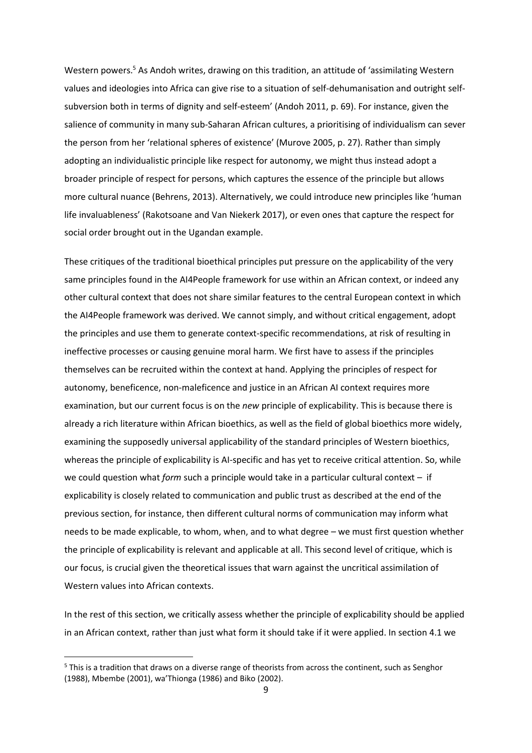Western powers.<sup>5</sup> As Andoh writes, drawing on this tradition, an attitude of 'assimilating Western values and ideologies into Africa can give rise to a situation of self-dehumanisation and outright selfsubversion both in terms of dignity and self-esteem' (Andoh 2011, p. 69). For instance, given the salience of community in many sub-Saharan African cultures, a prioritising of individualism can sever the person from her 'relational spheres of existence' (Murove 2005, p. 27). Rather than simply adopting an individualistic principle like respect for autonomy, we might thus instead adopt a broader principle of respect for persons, which captures the essence of the principle but allows more cultural nuance (Behrens, 2013). Alternatively, we could introduce new principles like 'human life invaluableness' (Rakotsoane and Van Niekerk 2017), or even ones that capture the respect for social order brought out in the Ugandan example.

These critiques of the traditional bioethical principles put pressure on the applicability of the very same principles found in the AI4People framework for use within an African context, or indeed any other cultural context that does not share similar features to the central European context in which the AI4People framework was derived. We cannot simply, and without critical engagement, adopt the principles and use them to generate context-specific recommendations, at risk of resulting in ineffective processes or causing genuine moral harm. We first have to assess if the principles themselves can be recruited within the context at hand. Applying the principles of respect for autonomy, beneficence, non-maleficence and justice in an African AI context requires more examination, but our current focus is on the *new* principle of explicability. This is because there is already a rich literature within African bioethics, as well as the field of global bioethics more widely, examining the supposedly universal applicability of the standard principles of Western bioethics, whereas the principle of explicability is AI-specific and has yet to receive critical attention. So, while we could question what *form* such a principle would take in a particular cultural context – if explicability is closely related to communication and public trust as described at the end of the previous section, for instance, then different cultural norms of communication may inform what needs to be made explicable, to whom, when, and to what degree – we must first question whether the principle of explicability is relevant and applicable at all. This second level of critique, which is our focus, is crucial given the theoretical issues that warn against the uncritical assimilation of Western values into African contexts.

In the rest of this section, we critically assess whether the principle of explicability should be applied in an African context, rather than just what form it should take if it were applied. In section 4.1 we

<sup>&</sup>lt;sup>5</sup> This is a tradition that draws on a diverse range of theorists from across the continent, such as Senghor (1988), Mbembe (2001), wa'Thionga (1986) and Biko (2002).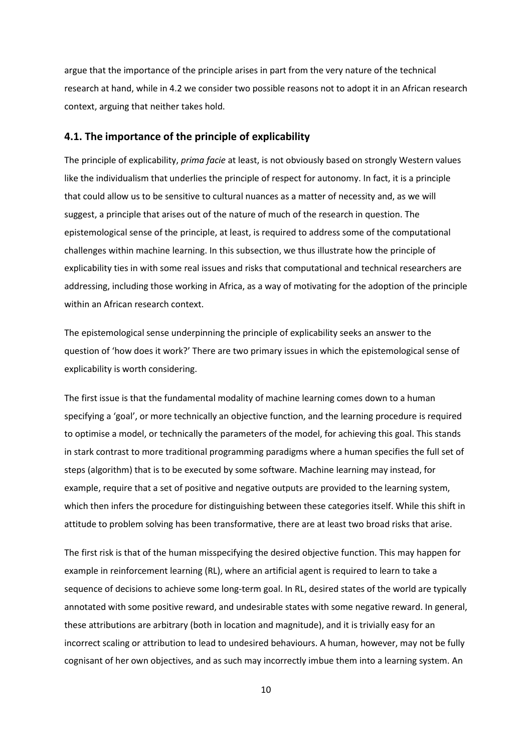argue that the importance of the principle arises in part from the very nature of the technical research at hand, while in 4.2 we consider two possible reasons not to adopt it in an African research context, arguing that neither takes hold.

#### **4.1. The importance of the principle of explicability**

The principle of explicability, *prima facie* at least, is not obviously based on strongly Western values like the individualism that underlies the principle of respect for autonomy. In fact, it is a principle that could allow us to be sensitive to cultural nuances as a matter of necessity and, as we will suggest, a principle that arises out of the nature of much of the research in question. The epistemological sense of the principle, at least, is required to address some of the computational challenges within machine learning. In this subsection, we thus illustrate how the principle of explicability ties in with some real issues and risks that computational and technical researchers are addressing, including those working in Africa, as a way of motivating for the adoption of the principle within an African research context.

The epistemological sense underpinning the principle of explicability seeks an answer to the question of 'how does it work?' There are two primary issues in which the epistemological sense of explicability is worth considering.

The first issue is that the fundamental modality of machine learning comes down to a human specifying a 'goal', or more technically an objective function, and the learning procedure is required to optimise a model, or technically the parameters of the model, for achieving this goal. This stands in stark contrast to more traditional programming paradigms where a human specifies the full set of steps (algorithm) that is to be executed by some software. Machine learning may instead, for example, require that a set of positive and negative outputs are provided to the learning system, which then infers the procedure for distinguishing between these categories itself. While this shift in attitude to problem solving has been transformative, there are at least two broad risks that arise.

The first risk is that of the human misspecifying the desired objective function. This may happen for example in reinforcement learning (RL), where an artificial agent is required to learn to take a sequence of decisions to achieve some long-term goal. In RL, desired states of the world are typically annotated with some positive reward, and undesirable states with some negative reward. In general, these attributions are arbitrary (both in location and magnitude), and it is trivially easy for an incorrect scaling or attribution to lead to undesired behaviours. A human, however, may not be fully cognisant of her own objectives, and as such may incorrectly imbue them into a learning system. An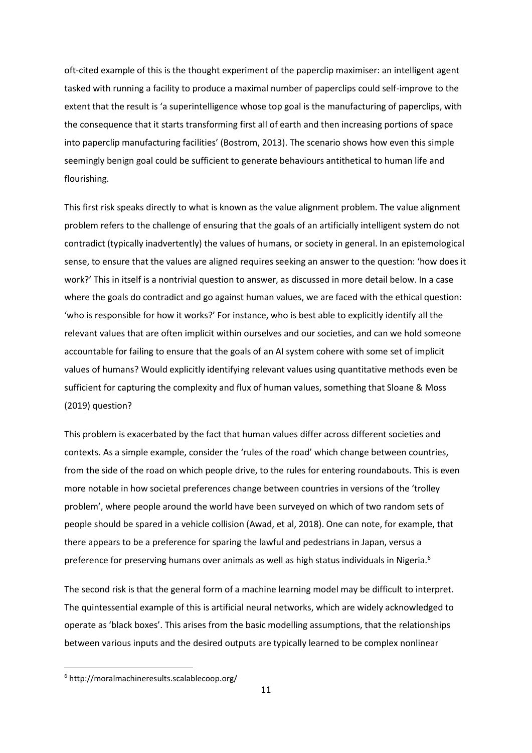oft-cited example of this is the thought experiment of the paperclip maximiser: an intelligent agent tasked with running a facility to produce a maximal number of paperclips could self-improve to the extent that the result is 'a superintelligence whose top goal is the manufacturing of paperclips, with the consequence that it starts transforming first all of earth and then increasing portions of space into paperclip manufacturing facilities' (Bostrom, 2013). The scenario shows how even this simple seemingly benign goal could be sufficient to generate behaviours antithetical to human life and flourishing.

This first risk speaks directly to what is known as the value alignment problem. The value alignment problem refers to the challenge of ensuring that the goals of an artificially intelligent system do not contradict (typically inadvertently) the values of humans, or society in general. In an epistemological sense, to ensure that the values are aligned requires seeking an answer to the question: 'how does it work?' This in itself is a nontrivial question to answer, as discussed in more detail below. In a case where the goals do contradict and go against human values, we are faced with the ethical question: 'who is responsible for how it works?' For instance, who is best able to explicitly identify all the relevant values that are often implicit within ourselves and our societies, and can we hold someone accountable for failing to ensure that the goals of an AI system cohere with some set of implicit values of humans? Would explicitly identifying relevant values using quantitative methods even be sufficient for capturing the complexity and flux of human values, something that Sloane & Moss (2019) question?

This problem is exacerbated by the fact that human values differ across different societies and contexts. As a simple example, consider the 'rules of the road' which change between countries, from the side of the road on which people drive, to the rules for entering roundabouts. This is even more notable in how societal preferences change between countries in versions of the 'trolley problem', where people around the world have been surveyed on which of two random sets of people should be spared in a vehicle collision (Awad, et al, 2018). One can note, for example, that there appears to be a preference for sparing the lawful and pedestrians in Japan, versus a preference for preserving humans over animals as well as high status individuals in Nigeria.<sup>6</sup>

The second risk is that the general form of a machine learning model may be difficult to interpret. The quintessential example of this is artificial neural networks, which are widely acknowledged to operate as 'black boxes'. This arises from the basic modelling assumptions, that the relationships between various inputs and the desired outputs are typically learned to be complex nonlinear

<sup>6</sup> http://moralmachineresults.scalablecoop.org/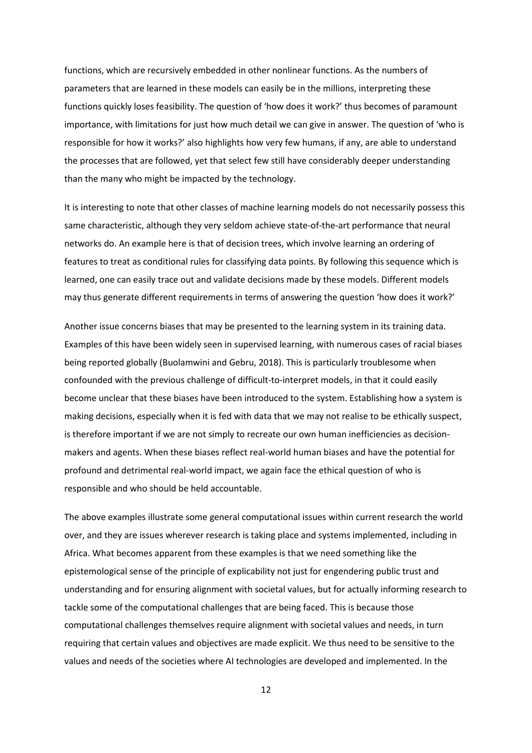functions, which are recursively embedded in other nonlinear functions. As the numbers of parameters that are learned in these models can easily be in the millions, interpreting these functions quickly loses feasibility. The question of 'how does it work?' thus becomes of paramount importance, with limitations for just how much detail we can give in answer. The question of 'who is responsible for how it works?' also highlights how very few humans, if any, are able to understand the processes that are followed, yet that select few still have considerably deeper understanding than the many who might be impacted by the technology.

It is interesting to note that other classes of machine learning models do not necessarily possess this same characteristic, although they very seldom achieve state-of-the-art performance that neural networks do. An example here is that of decision trees, which involve learning an ordering of features to treat as conditional rules for classifying data points. By following this sequence which is learned, one can easily trace out and validate decisions made by these models. Different models may thus generate different requirements in terms of answering the question 'how does it work?'

Another issue concerns biases that may be presented to the learning system in its training data. Examples of this have been widely seen in supervised learning, with numerous cases of racial biases being reported globally (Buolamwini and Gebru, 2018). This is particularly troublesome when confounded with the previous challenge of difficult-to-interpret models, in that it could easily become unclear that these biases have been introduced to the system. Establishing how a system is making decisions, especially when it is fed with data that we may not realise to be ethically suspect, is therefore important if we are not simply to recreate our own human inefficiencies as decisionmakers and agents. When these biases reflect real-world human biases and have the potential for profound and detrimental real-world impact, we again face the ethical question of who is responsible and who should be held accountable.

The above examples illustrate some general computational issues within current research the world over, and they are issues wherever research is taking place and systems implemented, including in Africa. What becomes apparent from these examples is that we need something like the epistemological sense of the principle of explicability not just for engendering public trust and understanding and for ensuring alignment with societal values, but for actually informing research to tackle some of the computational challenges that are being faced. This is because those computational challenges themselves require alignment with societal values and needs, in turn requiring that certain values and objectives are made explicit. We thus need to be sensitive to the values and needs of the societies where AI technologies are developed and implemented. In the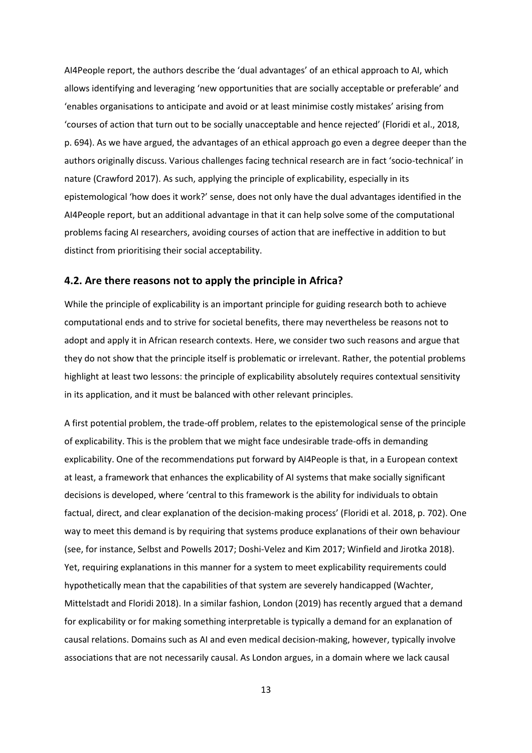AI4People report, the authors describe the 'dual advantages' of an ethical approach to AI, which allows identifying and leveraging 'new opportunities that are socially acceptable or preferable' and 'enables organisations to anticipate and avoid or at least minimise costly mistakes' arising from 'courses of action that turn out to be socially unacceptable and hence rejected' (Floridi et al., 2018, p. 694). As we have argued, the advantages of an ethical approach go even a degree deeper than the authors originally discuss. Various challenges facing technical research are in fact 'socio-technical' in nature (Crawford 2017). As such, applying the principle of explicability, especially in its epistemological 'how does it work?' sense, does not only have the dual advantages identified in the AI4People report, but an additional advantage in that it can help solve some of the computational problems facing AI researchers, avoiding courses of action that are ineffective in addition to but distinct from prioritising their social acceptability.

#### **4.2. Are there reasons not to apply the principle in Africa?**

While the principle of explicability is an important principle for guiding research both to achieve computational ends and to strive for societal benefits, there may nevertheless be reasons not to adopt and apply it in African research contexts. Here, we consider two such reasons and argue that they do not show that the principle itself is problematic or irrelevant. Rather, the potential problems highlight at least two lessons: the principle of explicability absolutely requires contextual sensitivity in its application, and it must be balanced with other relevant principles.

A first potential problem, the trade-off problem, relates to the epistemological sense of the principle of explicability. This is the problem that we might face undesirable trade-offs in demanding explicability. One of the recommendations put forward by AI4People is that, in a European context at least, a framework that enhances the explicability of AI systems that make socially significant decisions is developed, where 'central to this framework is the ability for individuals to obtain factual, direct, and clear explanation of the decision-making process' (Floridi et al. 2018, p. 702). One way to meet this demand is by requiring that systems produce explanations of their own behaviour (see, for instance, Selbst and Powells 2017; Doshi-Velez and Kim 2017; Winfield and Jirotka 2018). Yet, requiring explanations in this manner for a system to meet explicability requirements could hypothetically mean that the capabilities of that system are severely handicapped (Wachter, Mittelstadt and Floridi 2018). In a similar fashion, London (2019) has recently argued that a demand for explicability or for making something interpretable is typically a demand for an explanation of causal relations. Domains such as AI and even medical decision-making, however, typically involve associations that are not necessarily causal. As London argues, in a domain where we lack causal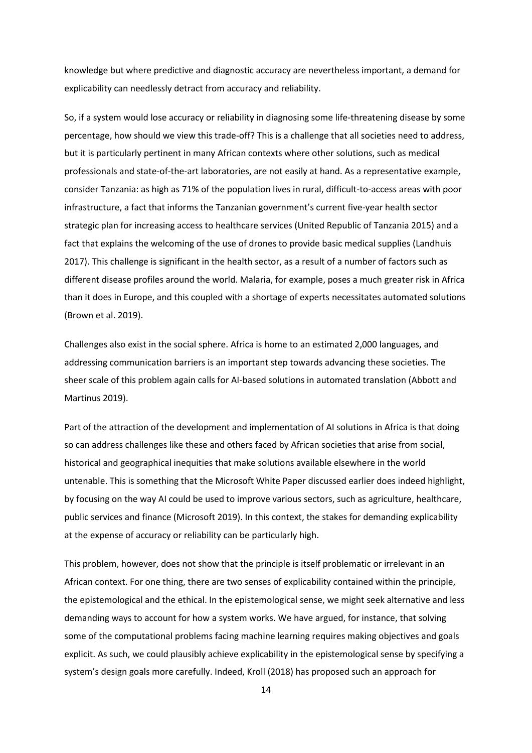knowledge but where predictive and diagnostic accuracy are nevertheless important, a demand for explicability can needlessly detract from accuracy and reliability.

So, if a system would lose accuracy or reliability in diagnosing some life-threatening disease by some percentage, how should we view this trade-off? This is a challenge that all societies need to address, but it is particularly pertinent in many African contexts where other solutions, such as medical professionals and state-of-the-art laboratories, are not easily at hand. As a representative example, consider Tanzania: as high as 71% of the population lives in rural, difficult-to-access areas with poor infrastructure, a fact that informs the Tanzanian government's current five-year health sector strategic plan for increasing access to healthcare services (United Republic of Tanzania 2015) and a fact that explains the welcoming of the use of drones to provide basic medical supplies (Landhuis 2017). This challenge is significant in the health sector, as a result of a number of factors such as different disease profiles around the world. Malaria, for example, poses a much greater risk in Africa than it does in Europe, and this coupled with a shortage of experts necessitates automated solutions (Brown et al. 2019).

Challenges also exist in the social sphere. Africa is home to an estimated 2,000 languages, and addressing communication barriers is an important step towards advancing these societies. The sheer scale of this problem again calls for AI-based solutions in automated translation (Abbott and Martinus 2019).

Part of the attraction of the development and implementation of AI solutions in Africa is that doing so can address challenges like these and others faced by African societies that arise from social, historical and geographical inequities that make solutions available elsewhere in the world untenable. This is something that the Microsoft White Paper discussed earlier does indeed highlight, by focusing on the way AI could be used to improve various sectors, such as agriculture, healthcare, public services and finance (Microsoft 2019). In this context, the stakes for demanding explicability at the expense of accuracy or reliability can be particularly high.

This problem, however, does not show that the principle is itself problematic or irrelevant in an African context. For one thing, there are two senses of explicability contained within the principle, the epistemological and the ethical. In the epistemological sense, we might seek alternative and less demanding ways to account for how a system works. We have argued, for instance, that solving some of the computational problems facing machine learning requires making objectives and goals explicit. As such, we could plausibly achieve explicability in the epistemological sense by specifying a system's design goals more carefully. Indeed, Kroll (2018) has proposed such an approach for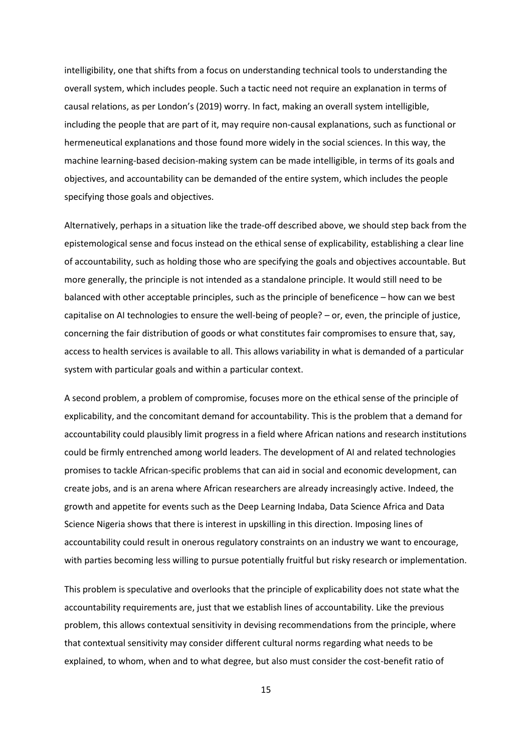intelligibility, one that shifts from a focus on understanding technical tools to understanding the overall system, which includes people. Such a tactic need not require an explanation in terms of causal relations, as per London's (2019) worry. In fact, making an overall system intelligible, including the people that are part of it, may require non-causal explanations, such as functional or hermeneutical explanations and those found more widely in the social sciences. In this way, the machine learning-based decision-making system can be made intelligible, in terms of its goals and objectives, and accountability can be demanded of the entire system, which includes the people specifying those goals and objectives.

Alternatively, perhaps in a situation like the trade-off described above, we should step back from the epistemological sense and focus instead on the ethical sense of explicability, establishing a clear line of accountability, such as holding those who are specifying the goals and objectives accountable. But more generally, the principle is not intended as a standalone principle. It would still need to be balanced with other acceptable principles, such as the principle of beneficence – how can we best capitalise on AI technologies to ensure the well-being of people? – or, even, the principle of justice, concerning the fair distribution of goods or what constitutes fair compromises to ensure that, say, access to health services is available to all. This allows variability in what is demanded of a particular system with particular goals and within a particular context.

A second problem, a problem of compromise, focuses more on the ethical sense of the principle of explicability, and the concomitant demand for accountability. This is the problem that a demand for accountability could plausibly limit progress in a field where African nations and research institutions could be firmly entrenched among world leaders. The development of AI and related technologies promises to tackle African-specific problems that can aid in social and economic development, can create jobs, and is an arena where African researchers are already increasingly active. Indeed, the growth and appetite for events such as the Deep Learning Indaba, Data Science Africa and Data Science Nigeria shows that there is interest in upskilling in this direction. Imposing lines of accountability could result in onerous regulatory constraints on an industry we want to encourage, with parties becoming less willing to pursue potentially fruitful but risky research or implementation.

This problem is speculative and overlooks that the principle of explicability does not state what the accountability requirements are, just that we establish lines of accountability. Like the previous problem, this allows contextual sensitivity in devising recommendations from the principle, where that contextual sensitivity may consider different cultural norms regarding what needs to be explained, to whom, when and to what degree, but also must consider the cost-benefit ratio of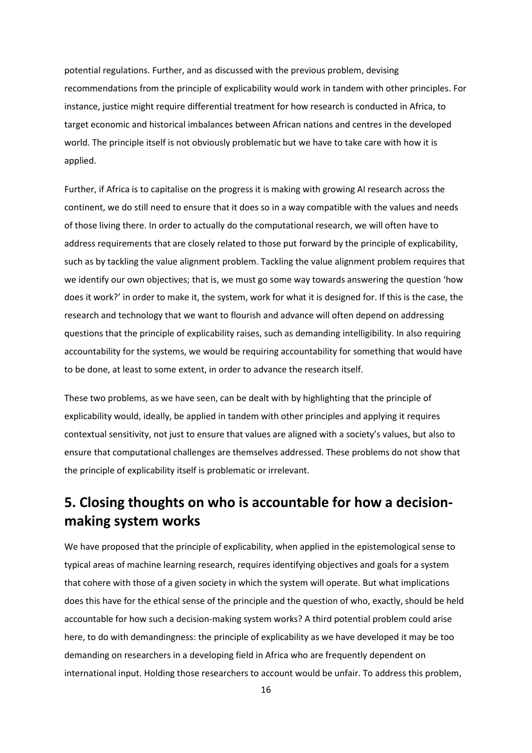potential regulations. Further, and as discussed with the previous problem, devising recommendations from the principle of explicability would work in tandem with other principles. For instance, justice might require differential treatment for how research is conducted in Africa, to target economic and historical imbalances between African nations and centres in the developed world. The principle itself is not obviously problematic but we have to take care with how it is applied.

Further, if Africa is to capitalise on the progress it is making with growing AI research across the continent, we do still need to ensure that it does so in a way compatible with the values and needs of those living there. In order to actually do the computational research, we will often have to address requirements that are closely related to those put forward by the principle of explicability, such as by tackling the value alignment problem. Tackling the value alignment problem requires that we identify our own objectives; that is, we must go some way towards answering the question 'how does it work?' in order to make it, the system, work for what it is designed for. If this is the case, the research and technology that we want to flourish and advance will often depend on addressing questions that the principle of explicability raises, such as demanding intelligibility. In also requiring accountability for the systems, we would be requiring accountability for something that would have to be done, at least to some extent, in order to advance the research itself.

These two problems, as we have seen, can be dealt with by highlighting that the principle of explicability would, ideally, be applied in tandem with other principles and applying it requires contextual sensitivity, not just to ensure that values are aligned with a society's values, but also to ensure that computational challenges are themselves addressed. These problems do not show that the principle of explicability itself is problematic or irrelevant.

# **5. Closing thoughts on who is accountable for how a decisionmaking system works**

We have proposed that the principle of explicability, when applied in the epistemological sense to typical areas of machine learning research, requires identifying objectives and goals for a system that cohere with those of a given society in which the system will operate. But what implications does this have for the ethical sense of the principle and the question of who, exactly, should be held accountable for how such a decision-making system works? A third potential problem could arise here, to do with demandingness: the principle of explicability as we have developed it may be too demanding on researchers in a developing field in Africa who are frequently dependent on international input. Holding those researchers to account would be unfair. To address this problem,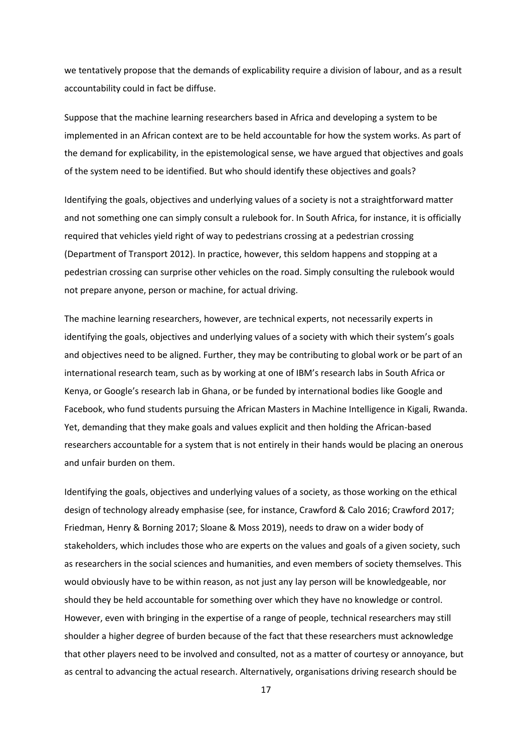we tentatively propose that the demands of explicability require a division of labour, and as a result accountability could in fact be diffuse.

Suppose that the machine learning researchers based in Africa and developing a system to be implemented in an African context are to be held accountable for how the system works. As part of the demand for explicability, in the epistemological sense, we have argued that objectives and goals of the system need to be identified. But who should identify these objectives and goals?

Identifying the goals, objectives and underlying values of a society is not a straightforward matter and not something one can simply consult a rulebook for. In South Africa, for instance, it is officially required that vehicles yield right of way to pedestrians crossing at a pedestrian crossing (Department of Transport 2012). In practice, however, this seldom happens and stopping at a pedestrian crossing can surprise other vehicles on the road. Simply consulting the rulebook would not prepare anyone, person or machine, for actual driving.

The machine learning researchers, however, are technical experts, not necessarily experts in identifying the goals, objectives and underlying values of a society with which their system's goals and objectives need to be aligned. Further, they may be contributing to global work or be part of an international research team, such as by working at one of IBM's research labs in South Africa or Kenya, or Google's research lab in Ghana, or be funded by international bodies like Google and Facebook, who fund students pursuing the African Masters in Machine Intelligence in Kigali, Rwanda. Yet, demanding that they make goals and values explicit and then holding the African-based researchers accountable for a system that is not entirely in their hands would be placing an onerous and unfair burden on them.

Identifying the goals, objectives and underlying values of a society, as those working on the ethical design of technology already emphasise (see, for instance, Crawford & Calo 2016; Crawford 2017; Friedman, Henry & Borning 2017; Sloane & Moss 2019), needs to draw on a wider body of stakeholders, which includes those who are experts on the values and goals of a given society, such as researchers in the social sciences and humanities, and even members of society themselves. This would obviously have to be within reason, as not just any lay person will be knowledgeable, nor should they be held accountable for something over which they have no knowledge or control. However, even with bringing in the expertise of a range of people, technical researchers may still shoulder a higher degree of burden because of the fact that these researchers must acknowledge that other players need to be involved and consulted, not as a matter of courtesy or annoyance, but as central to advancing the actual research. Alternatively, organisations driving research should be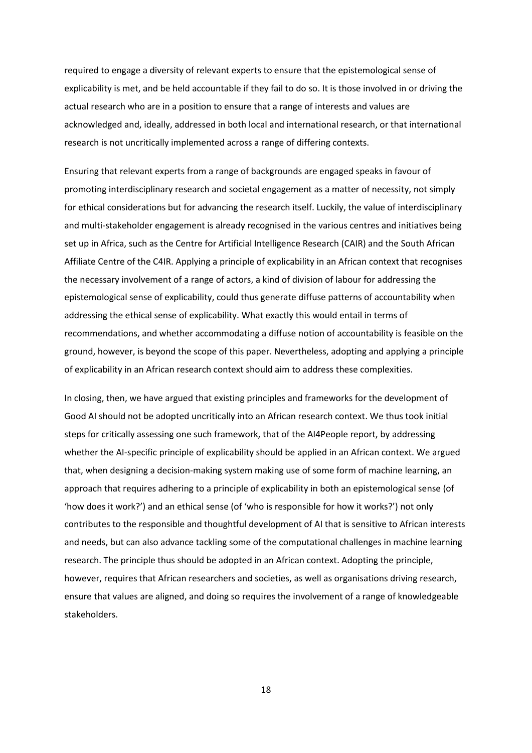required to engage a diversity of relevant experts to ensure that the epistemological sense of explicability is met, and be held accountable if they fail to do so. It is those involved in or driving the actual research who are in a position to ensure that a range of interests and values are acknowledged and, ideally, addressed in both local and international research, or that international research is not uncritically implemented across a range of differing contexts.

Ensuring that relevant experts from a range of backgrounds are engaged speaks in favour of promoting interdisciplinary research and societal engagement as a matter of necessity, not simply for ethical considerations but for advancing the research itself. Luckily, the value of interdisciplinary and multi-stakeholder engagement is already recognised in the various centres and initiatives being set up in Africa, such as the Centre for Artificial Intelligence Research (CAIR) and the South African Affiliate Centre of the C4IR. Applying a principle of explicability in an African context that recognises the necessary involvement of a range of actors, a kind of division of labour for addressing the epistemological sense of explicability, could thus generate diffuse patterns of accountability when addressing the ethical sense of explicability. What exactly this would entail in terms of recommendations, and whether accommodating a diffuse notion of accountability is feasible on the ground, however, is beyond the scope of this paper. Nevertheless, adopting and applying a principle of explicability in an African research context should aim to address these complexities.

In closing, then, we have argued that existing principles and frameworks for the development of Good AI should not be adopted uncritically into an African research context. We thus took initial steps for critically assessing one such framework, that of the AI4People report, by addressing whether the AI-specific principle of explicability should be applied in an African context. We argued that, when designing a decision-making system making use of some form of machine learning, an approach that requires adhering to a principle of explicability in both an epistemological sense (of 'how does it work?') and an ethical sense (of 'who is responsible for how it works?') not only contributes to the responsible and thoughtful development of AI that is sensitive to African interests and needs, but can also advance tackling some of the computational challenges in machine learning research. The principle thus should be adopted in an African context. Adopting the principle, however, requires that African researchers and societies, as well as organisations driving research, ensure that values are aligned, and doing so requires the involvement of a range of knowledgeable stakeholders.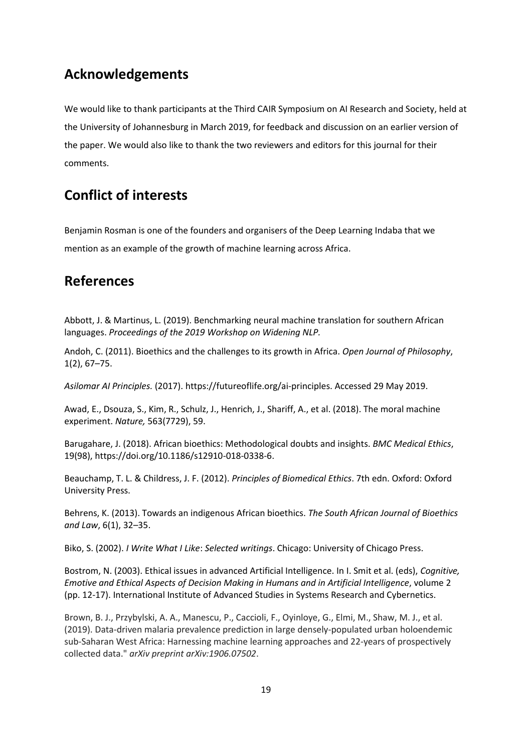# **Acknowledgements**

We would like to thank participants at the Third CAIR Symposium on AI Research and Society, held at the University of Johannesburg in March 2019, for feedback and discussion on an earlier version of the paper. We would also like to thank the two reviewers and editors for this journal for their comments.

# **Conflict of interests**

Benjamin Rosman is one of the founders and organisers of the Deep Learning Indaba that we mention as an example of the growth of machine learning across Africa.

# **References**

Abbott, J. & Martinus, L. (2019). Benchmarking neural machine translation for southern African languages. *Proceedings of the 2019 Workshop on Widening NLP.*

Andoh, C. (2011). Bioethics and the challenges to its growth in Africa. *Open Journal of Philosophy*, 1(2), 67–75.

*Asilomar AI Principles.* (2017). https://futureoflife.org/ai-principles. Accessed 29 May 2019.

Awad, E., Dsouza, S., Kim, R., Schulz, J., Henrich, J., Shariff, A., et al. (2018). The moral machine experiment. *Nature,* 563(7729), 59.

Barugahare, J. (2018). African bioethics: Methodological doubts and insights. *BMC Medical Ethics*, 19(98), https://doi.org/10.1186/s12910-018-0338-6.

Beauchamp, T. L. & Childress, J. F. (2012). *Principles of Biomedical Ethics*. 7th edn. Oxford: Oxford University Press.

Behrens, K. (2013). Towards an indigenous African bioethics. *The South African Journal of Bioethics and Law*, 6(1), 32–35.

Biko, S. (2002). *I Write What I Like*: *Selected writings*. Chicago: University of Chicago Press.

Bostrom, N. (2003). Ethical issues in advanced Artificial Intelligence. In I. Smit et al. (eds), *Cognitive, Emotive and Ethical Aspects of Decision Making in Humans and in Artificial Intelligence*, volume 2 (pp. 12-17). International Institute of Advanced Studies in Systems Research and Cybernetics.

Brown, B. J., Przybylski, A. A., Manescu, P., Caccioli, F., Oyinloye, G., Elmi, M., Shaw, M. J., et al. (2019). Data-driven malaria prevalence prediction in large densely-populated urban holoendemic sub-Saharan West Africa: Harnessing machine learning approaches and 22-years of prospectively collected data." *arXiv preprint arXiv:1906.07502*.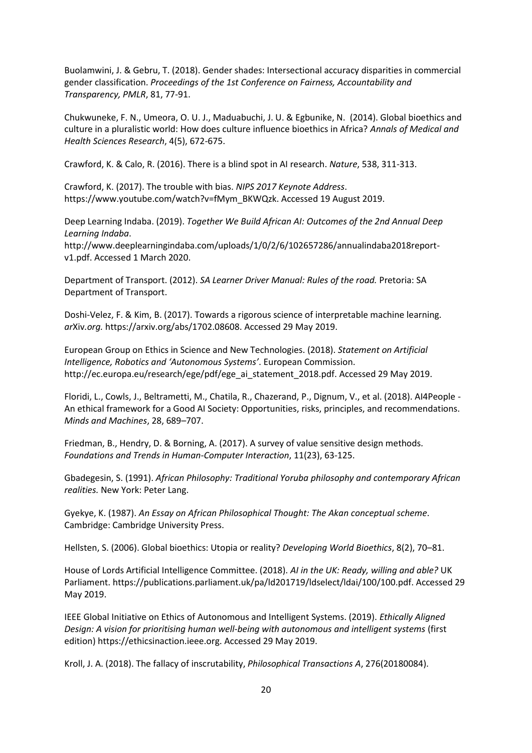Buolamwini, J. & Gebru, T. (2018). Gender shades: Intersectional accuracy disparities in commercial gender classification. *Proceedings of the 1st Conference on Fairness, Accountability and Transparency, PMLR*, 81, 77-91.

Chukwuneke, F. N., Umeora, O. U. J., Maduabuchi, J. U. & Egbunike, N. (2014). Global bioethics and culture in a pluralistic world: How does culture influence bioethics in Africa? *Annals of Medical and Health Sciences Research*, 4(5), 672-675.

Crawford, K. & Calo, R. (2016). There is a blind spot in AI research. *Nature*, 538, 311-313.

Crawford, K. (2017). The trouble with bias. *NIPS 2017 Keynote Address*. https://www.youtube.com/watch?v=fMym\_BKWQzk. Accessed 19 August 2019.

Deep Learning Indaba. (2019). *Together We Build African AI: Outcomes of the 2nd Annual Deep Learning Indaba*. http://www.deeplearningindaba.com/uploads/1/0/2/6/102657286/annualindaba2018reportv1.pdf. Accessed 1 March 2020.

Department of Transport. (2012). *SA Learner Driver Manual: Rules of the road.* Pretoria: SA Department of Transport.

Doshi-Velez, F. & Kim, B. (2017). Towards a rigorous science of interpretable machine learning. *ar*Xiv*.org.* https://arxiv.org/abs/1702.08608. Accessed 29 May 2019.

European Group on Ethics in Science and New Technologies. (2018). *Statement on Artificial Intelligence, Robotics and 'Autonomous Systems'*. European Commission. http://ec.europa.eu/research/ege/pdf/ege\_ai\_statement\_2018.pdf. Accessed 29 May 2019.

Floridi, L., Cowls, J., Beltrametti, M., Chatila, R., Chazerand, P., Dignum, V., et al. (2018). AI4People - An ethical framework for a Good AI Society: Opportunities, risks, principles, and recommendations. *Minds and Machines*, 28, 689–707.

Friedman, B., Hendry, D. & Borning, A. (2017). A survey of value sensitive design methods*. Foundations and Trends in Human-Computer Interaction*, 11(23), 63-125.

Gbadegesin, S. (1991). *African Philosophy: Traditional Yoruba philosophy and contemporary African realities.* New York: Peter Lang.

Gyekye, K. (1987). *An Essay on African Philosophical Thought: The Akan conceptual scheme*. Cambridge: Cambridge University Press.

Hellsten, S. (2006). Global bioethics: Utopia or reality? *Developing World Bioethics*, 8(2), 70–81.

House of Lords Artificial Intelligence Committee. (2018). *AI in the UK: Ready, willing and able?* UK Parliament. https://publications.parliament.uk/pa/ld201719/ldselect/ldai/100/100.pdf. Accessed 29 May 2019.

IEEE Global Initiative on Ethics of Autonomous and Intelligent Systems. (2019). *Ethically Aligned Design: A vision for prioritising human well-being with autonomous and intelligent systems* (first edition) https://ethicsinaction.ieee.org. Accessed 29 May 2019.

Kroll, J. A. (2018). The fallacy of inscrutability, *Philosophical Transactions A*, 276(20180084).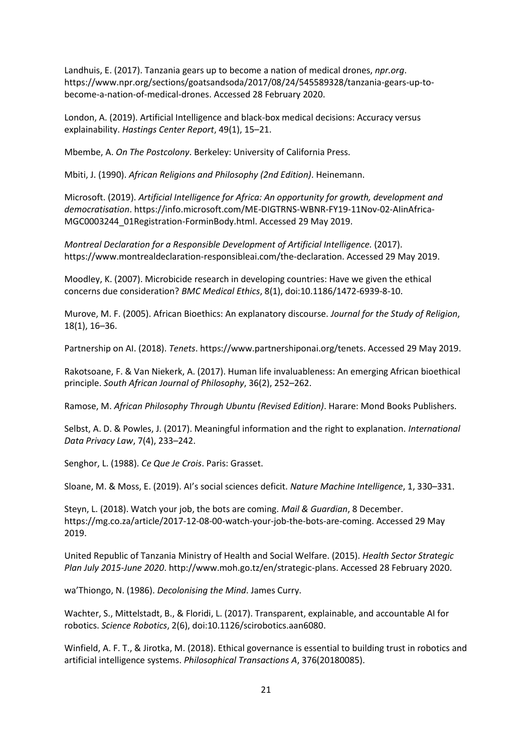Landhuis, E. (2017). Tanzania gears up to become a nation of medical drones, *npr.org*. https://www.npr.org/sections/goatsandsoda/2017/08/24/545589328/tanzania-gears-up-tobecome-a-nation-of-medical-drones. Accessed 28 February 2020.

London, A. (2019). Artificial Intelligence and black-box medical decisions: Accuracy versus explainability. *Hastings Center Report*, 49(1), 15–21.

Mbembe, A. *On The Postcolony*. Berkeley: University of California Press.

Mbiti, J. (1990). *African Religions and Philosophy (2nd Edition)*. Heinemann.

Microsoft. (2019). *Artificial Intelligence for Africa: An opportunity for growth, development and democratisation*. https://info.microsoft.com/ME-DIGTRNS-WBNR-FY19-11Nov-02-AIinAfrica-MGC0003244\_01Registration-ForminBody.html. Accessed 29 May 2019.

*Montreal Declaration for a Responsible Development of Artificial Intelligence.* (2017). https://www.montrealdeclaration-responsibleai.com/the-declaration. Accessed 29 May 2019.

Moodley, K. (2007). Microbicide research in developing countries: Have we given the ethical concerns due consideration? *BMC Medical Ethics*, 8(1), doi:10.1186/1472-6939-8-10.

Murove, M. F. (2005). African Bioethics: An explanatory discourse. *Journal for the Study of Religion*, 18(1), 16–36.

Partnership on AI. (2018). *Tenets*. https://www.partnershiponai.org/tenets. Accessed 29 May 2019.

Rakotsoane, F. & Van Niekerk, A. (2017). Human life invaluableness: An emerging African bioethical principle. *South African Journal of Philosophy*, 36(2), 252–262.

Ramose, M. *African Philosophy Through Ubuntu (Revised Edition)*. Harare: Mond Books Publishers.

Selbst, A. D. & Powles, J. (2017). Meaningful information and the right to explanation. *International Data Privacy Law*, 7(4), 233–242.

Senghor, L. (1988). *Ce Que Je Crois*. Paris: Grasset.

Sloane, M. & Moss, E. (2019). AI's social sciences deficit. *Nature Machine Intelligence*, 1, 330–331.

Steyn, L. (2018). Watch your job, the bots are coming. *Mail & Guardian*, 8 December. https://mg.co.za/article/2017-12-08-00-watch-your-job-the-bots-are-coming. Accessed 29 May 2019.

United Republic of Tanzania Ministry of Health and Social Welfare. (2015). *Health Sector Strategic Plan July 2015-June 2020*. http://www.moh.go.tz/en/strategic-plans. Accessed 28 February 2020.

wa'Thiongo, N. (1986). *Decolonising the Mind*. James Curry.

Wachter, S., Mittelstadt, B., & Floridi, L. (2017). Transparent, explainable, and accountable AI for robotics. *Science Robotics*, 2(6), doi:10.1126/scirobotics.aan6080.

Winfield, A. F. T., & Jirotka, M. (2018). Ethical governance is essential to building trust in robotics and artificial intelligence systems. *Philosophical Transactions A*, 376(20180085).